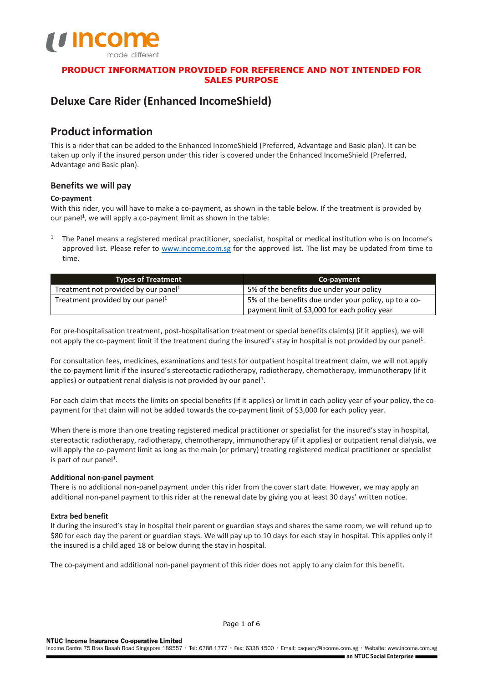

# **Deluxe Care Rider (Enhanced IncomeShield)**

# **Product information**

This is a rider that can be added to the Enhanced IncomeShield (Preferred, Advantage and Basic plan). It can be taken up only if the insured person under this rider is covered under the Enhanced IncomeShield (Preferred, Advantage and Basic plan).

# **Benefits we will pay**

# **Co-payment**

With this rider, you will have to make a co-payment, as shown in the table below. If the treatment is provided by our panel<sup>1</sup>, we will apply a co-payment limit as shown in the table:

<sup>1</sup> The Panel means a registered medical practitioner, specialist, hospital or medical institution who is on Income's approved list. Please refer to [www.income.com.sg](http://www.income.com.sg/) for the approved list. The list may be updated from time to time.

| <b>Types of Treatment</b>                        | Co-payment                                            |  |
|--------------------------------------------------|-------------------------------------------------------|--|
| Treatment not provided by our panel <sup>1</sup> | 5% of the benefits due under your policy              |  |
| Treatment provided by our panel <sup>1</sup>     | 5% of the benefits due under your policy, up to a co- |  |
|                                                  | payment limit of \$3,000 for each policy year         |  |

For pre-hospitalisation treatment, post-hospitalisation treatment or special benefits claim(s) (if it applies), we will not apply the co-payment limit if the treatment during the insured's stay in hospital is not provided by our panel<sup>1</sup>.

For consultation fees, medicines, examinations and tests for outpatient hospital treatment claim, we will not apply the co-payment limit if the insured's stereotactic radiotherapy, radiotherapy, chemotherapy, immunotherapy (if it applies) or outpatient renal dialysis is not provided by our panel<sup>1</sup>.

For each claim that meets the limits on special benefits (if it applies) or limit in each policy year of your policy, the copayment for that claim will not be added towards the co-payment limit of \$3,000 for each policy year.

When there is more than one treating registered medical practitioner or specialist for the insured's stay in hospital, stereotactic radiotherapy, radiotherapy, chemotherapy, immunotherapy (if it applies) or outpatient renal dialysis, we will apply the co-payment limit as long as the main (or primary) treating registered medical practitioner or specialist is part of our panel<sup>1</sup>.

# **Additional non-panel payment**

There is no additional non-panel payment under this rider from the cover start date. However, we may apply an additional non-panel payment to this rider at the renewal date by giving you at least 30 days' written notice.

# **Extra bed benefit**

If during the insured's stay in hospital their parent or guardian stays and shares the same room, we will refund up to \$80 for each day the parent or guardian stays. We will pay up to 10 days for each stay in hospital. This applies only if the insured is a child aged 18 or below during the stay in hospital.

The co-payment and additional non-panel payment of this rider does not apply to any claim for this benefit.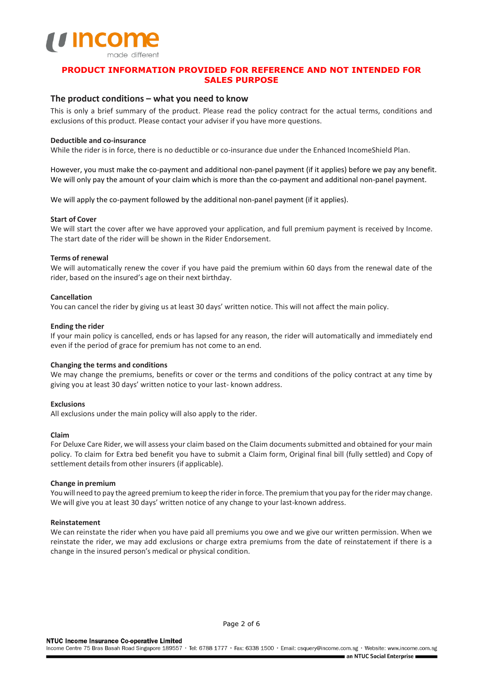

# **The product conditions – what you need to know**

This is only a brief summary of the product. Please read the policy contract for the actual terms, conditions and exclusions of this product. Please contact your adviser if you have more questions.

## **Deductible and co-insurance**

While the rider is in force, there is no deductible or co-insurance due under the Enhanced IncomeShield Plan.

However, you must make the co-payment and additional non-panel payment (if it applies) before we pay any benefit. We will only pay the amount of your claim which is more than the co-payment and additional non-panel payment.

We will apply the co-payment followed by the additional non-panel payment (if it applies).

## **Start of Cover**

We will start the cover after we have approved your application, and full premium payment is received by Income. The start date of the rider will be shown in the Rider Endorsement.

## **Terms of renewal**

We will automatically renew the cover if you have paid the premium within 60 days from the renewal date of the rider, based on the insured's age on their next birthday.

## **Cancellation**

You can cancel the rider by giving us at least 30 days' written notice. This will not affect the main policy.

## **Ending the rider**

If your main policy is cancelled, ends or has lapsed for any reason, the rider will automatically and immediately end even if the period of grace for premium has not come to an end.

## **Changing the terms and conditions**

We may change the premiums, benefits or cover or the terms and conditions of the policy contract at any time by giving you at least 30 days' written notice to your last- known address.

## **Exclusions**

All exclusions under the main policy will also apply to the rider.

## **Claim**

For Deluxe Care Rider, we will assess your claim based on the Claim documents submitted and obtained for your main policy. To claim for Extra bed benefit you have to submit a Claim form, Original final bill (fully settled) and Copy of settlement details from other insurers (if applicable).

## **Change in premium**

You will need to pay the agreed premium to keep the rider in force. The premium that you pay for the rider may change. We will give you at least 30 days' written notice of any change to your last-known address.

## **Reinstatement**

We can reinstate the rider when you have paid all premiums you owe and we give our written permission. When we reinstate the rider, we may add exclusions or charge extra premiums from the date of reinstatement if there is a change in the insured person's medical or physical condition.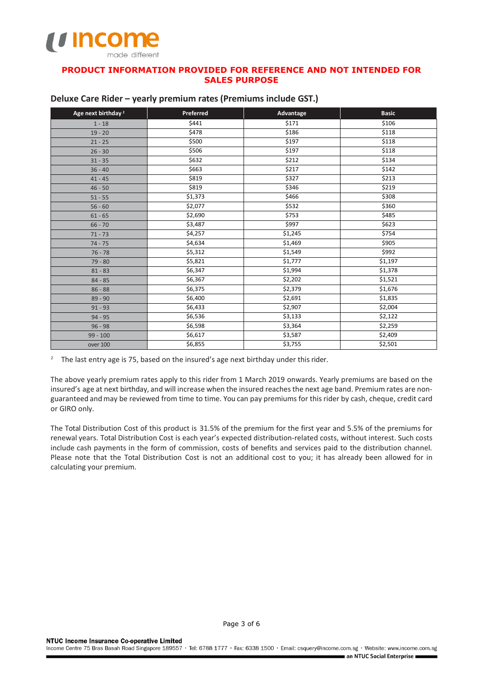

| Age next birthday <sup>2</sup> | Preferred | Advantage | <b>Basic</b> |
|--------------------------------|-----------|-----------|--------------|
| $1 - 18$                       | \$441     | \$171     | \$106        |
| $19 - 20$                      | \$478     | \$186     | \$118        |
| $21 - 25$                      | \$500     | \$197     | \$118        |
| $26 - 30$                      | \$506     | \$197     | \$118        |
| $31 - 35$                      | \$632     | \$212     | \$134        |
| $36 - 40$                      | \$663     | \$217     | \$142        |
| $41 - 45$                      | \$819     | \$327     | \$213        |
| $46 - 50$                      | \$819     | \$346     | \$219        |
| $51 - 55$                      | \$1,373   | \$466     | \$308        |
| $56 - 60$                      | \$2,077   | \$532     | \$360        |
| $61 - 65$                      | \$2,690   | \$753     | \$485        |
| $66 - 70$                      | \$3,487   | \$997     | \$623        |
| $71 - 73$                      | \$4,257   | \$1,245   | \$754        |
| $74 - 75$                      | \$4,634   | \$1,469   | \$905        |
| $76 - 78$                      | \$5,312   | \$1,549   | \$992        |
| $79 - 80$                      | \$5,821   | \$1,777   | \$1,197      |
| $81 - 83$                      | \$6,347   | \$1,994   | \$1,378      |
| $84 - 85$                      | \$6,367   | \$2,202   | \$1,521      |
| $86 - 88$                      | \$6,375   | \$2,379   | \$1,676      |
| $89 - 90$                      | \$6,400   | \$2,691   | \$1,835      |
| $91 - 93$                      | \$6,433   | \$2,907   | \$2,004      |
| $94 - 95$                      | \$6,536   | \$3,133   | \$2,122      |
| $96 - 98$                      | \$6,598   | \$3,364   | \$2,259      |
| $99 - 100$                     | \$6,617   | \$3,587   | \$2,409      |
| over 100                       | \$6,855   | \$3,755   | \$2,501      |

## **Deluxe Care Rider – yearly premium rates (Premiums include GST.)**

<sup>2</sup> The last entry age is 75, based on the insured's age next birthday under this rider.

The above yearly premium rates apply to this rider from 1 March 2019 onwards. Yearly premiums are based on the insured's age at next birthday, and will increase when the insured reachesthe next age band. Premium rates are nonguaranteed and may be reviewed from time to time. You can pay premiums for this rider by cash, cheque, credit card or GIRO only.

The Total Distribution Cost of this product is 31.5% of the premium for the first year and 5.5% of the premiums for renewal years. Total Distribution Cost is each year's expected distribution-related costs, without interest. Such costs include cash payments in the form of commission, costs of benefits and services paid to the distribution channel. Please note that the Total Distribution Cost is not an additional cost to you; it has already been allowed for in calculating your premium.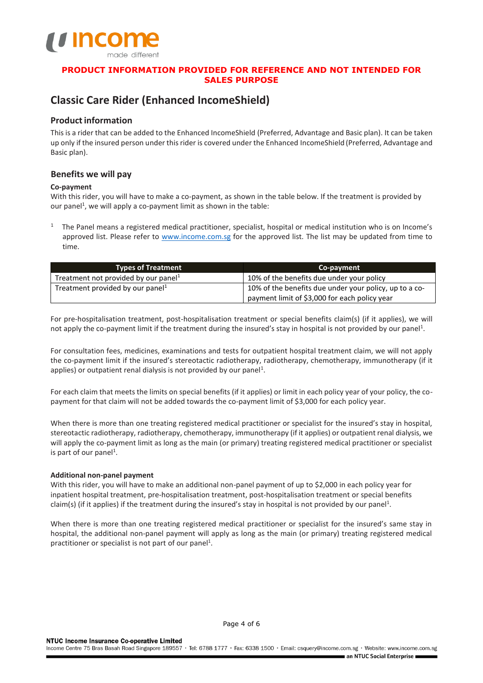

# **Classic Care Rider (Enhanced IncomeShield)**

# **Product information**

This is a rider that can be added to the Enhanced IncomeShield (Preferred, Advantage and Basic plan). It can be taken up only if the insured person under this rider is covered under the Enhanced IncomeShield (Preferred, Advantage and Basic plan).

# **Benefits we will pay**

# **Co-payment**

With this rider, you will have to make a co-payment, as shown in the table below. If the treatment is provided by our panel<sup>1</sup>, we will apply a co-payment limit as shown in the table:

<sup>1</sup> The Panel means a registered medical practitioner, specialist, hospital or medical institution who is on Income's approved list. Please refer to [www.income.com.sg](http://www.income.com.sg/) for the approved list. The list may be updated from time to time.

| <b>Types of Treatment</b>           | Co-payment                                             |  |
|-------------------------------------|--------------------------------------------------------|--|
| Treatment not provided by our panel | 10% of the benefits due under your policy              |  |
| Treatment provided by our panel     | 10% of the benefits due under your policy, up to a co- |  |
|                                     | payment limit of \$3,000 for each policy year          |  |

For pre-hospitalisation treatment, post-hospitalisation treatment or special benefits claim(s) (if it applies), we will not apply the co-payment limit if the treatment during the insured's stay in hospital is not provided by our panel<sup>1</sup>.

For consultation fees, medicines, examinations and tests for outpatient hospital treatment claim, we will not apply the co-payment limit if the insured's stereotactic radiotherapy, radiotherapy, chemotherapy, immunotherapy (if it applies) or outpatient renal dialysis is not provided by our panel<sup>1</sup>.

For each claim that meets the limits on special benefits (if it applies) or limit in each policy year of your policy, the copayment for that claim will not be added towards the co-payment limit of \$3,000 for each policy year.

When there is more than one treating registered medical practitioner or specialist for the insured's stay in hospital, stereotactic radiotherapy, radiotherapy, chemotherapy, immunotherapy (if it applies) or outpatient renal dialysis, we will apply the co-payment limit as long as the main (or primary) treating registered medical practitioner or specialist is part of our panel<sup>1</sup>.

# **Additional non-panel payment**

With this rider, you will have to make an additional non-panel payment of up to \$2,000 in each policy year for inpatient hospital treatment, pre-hospitalisation treatment, post-hospitalisation treatment or special benefits claim(s) (if it applies) if the treatment during the insured's stay in hospital is not provided by our panel<sup>1</sup>.

When there is more than one treating registered medical practitioner or specialist for the insured's same stay in hospital, the additional non-panel payment will apply as long as the main (or primary) treating registered medical practitioner or specialist is not part of our panel<sup>1</sup>.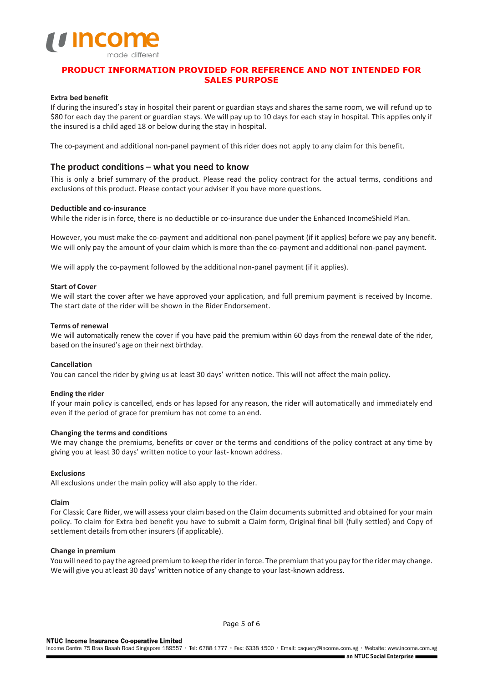

## **Extra bed benefit**

If during the insured's stay in hospital their parent or guardian stays and shares the same room, we will refund up to \$80 for each day the parent or guardian stays. We will pay up to 10 days for each stay in hospital. This applies only if the insured is a child aged 18 or below during the stay in hospital.

The co-payment and additional non-panel payment of this rider does not apply to any claim for this benefit.

## **The product conditions – what you need to know**

This is only a brief summary of the product. Please read the policy contract for the actual terms, conditions and exclusions of this product. Please contact your adviser if you have more questions.

## **Deductible and co-insurance**

While the rider is in force, there is no deductible or co-insurance due under the Enhanced IncomeShield Plan.

However, you must make the co-payment and additional non-panel payment (if it applies) before we pay any benefit. We will only pay the amount of your claim which is more than the co-payment and additional non-panel payment.

We will apply the co-payment followed by the additional non-panel payment (if it applies).

## **Start of Cover**

We will start the cover after we have approved your application, and full premium payment is received by Income. The start date of the rider will be shown in the Rider Endorsement.

## **Terms of renewal**

We will automatically renew the cover if you have paid the premium within 60 days from the renewal date of the rider, based on the insured's age on their next birthday.

## **Cancellation**

You can cancel the rider by giving us at least 30 days' written notice. This will not affect the main policy.

## **Ending the rider**

If your main policy is cancelled, ends or has lapsed for any reason, the rider will automatically and immediately end even if the period of grace for premium has not come to an end.

## **Changing the terms and conditions**

We may change the premiums, benefits or cover or the terms and conditions of the policy contract at any time by giving you at least 30 days' written notice to your last- known address.

## **Exclusions**

All exclusions under the main policy will also apply to the rider.

## **Claim**

For Classic Care Rider, we will assess your claim based on the Claim documents submitted and obtained for your main policy. To claim for Extra bed benefit you have to submit a Claim form, Original final bill (fully settled) and Copy of settlement details from other insurers (if applicable).

## **Change in premium**

You will need to pay the agreed premium to keep the rider in force. The premium that you pay for the rider may change. We will give you at least 30 days' written notice of any change to your last-known address.